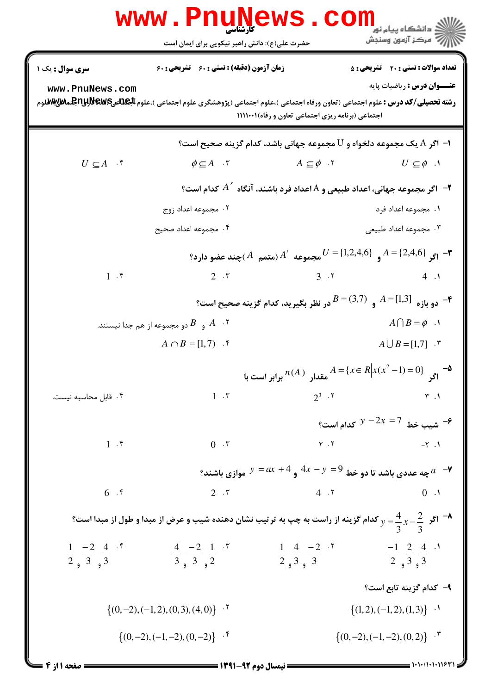|                                                                                                                                      | www.rnuwews.<br>حضرت علی(ع): دانش راهبر نیکویی برای ایمان است                    |                                                                                                  | دانشگاه پيام نور<br>(دانشگاه پيام نور)<br>(> مرکز آزمون وسنجش |  |  |  |  |
|--------------------------------------------------------------------------------------------------------------------------------------|----------------------------------------------------------------------------------|--------------------------------------------------------------------------------------------------|---------------------------------------------------------------|--|--|--|--|
| سری سوال : یک ۱                                                                                                                      | زمان آزمون (دقیقه) : تستی : 60 گشریحی : 60                                       |                                                                                                  | <b>تعداد سوالات : تستی : 20 ٪ تشریحی : 5</b>                  |  |  |  |  |
| www.PnuNews.com                                                                                                                      |                                                                                  | اجتماعی (برنامه ریزی اجتماعی تعاون و رفاه)١١١١٠٠١                                                | <b>عنـــوان درس :</b> رياضيات پايه                            |  |  |  |  |
| ا– اگر A یک مجموعه دلخواه و ${\rm U}$ مجموعه جهانی باشد، کدام گزینه صحیح است؟                                                        |                                                                                  |                                                                                                  |                                                               |  |  |  |  |
| $U \subseteq A$ .                                                                                                                    | $\phi \subseteq A$ . $\mathbf{v}$                                                | $A \subseteq \phi$ . T                                                                           | $U \subseteq \phi$ .                                          |  |  |  |  |
| و مجموعه جهانی، اعداد طبیعی و A اعداد فرد باشند، آنگاه $A^\vee$ کدام است $^\circ$                                                    |                                                                                  |                                                                                                  |                                                               |  |  |  |  |
|                                                                                                                                      | ۰۲ مجموعه اعداد زوج                                                              |                                                                                                  | ٠١. مجموعه اعداد فرد                                          |  |  |  |  |
|                                                                                                                                      | ۰۴ مجموعه اعداد صحيح                                                             |                                                                                                  | ۰۳ مجموعه اعداد طبیعی                                         |  |  |  |  |
| مجموعه $A'$ (متمم $A'$ ) چند عضو دارد؟ $J = \{1, 2, 4, 6\}$ ( $J = \{2, 4, 6\}$ ) جند عضو دارد $J$                                   |                                                                                  |                                                                                                  |                                                               |  |  |  |  |
| 1.5                                                                                                                                  | $2 \cdot r$                                                                      |                                                                                                  | $3 \t3 \t4 \t1$                                               |  |  |  |  |
|                                                                                                                                      | ° دو بازه $A = [1,3]$ و $B = (3,7)$ در نظر بگیرید، کدام گزینه صحیح است $\bullet$ |                                                                                                  |                                                               |  |  |  |  |
|                                                                                                                                      | و $\,$ دو مجموعه از هم جدا نیستند. $\,$                                          |                                                                                                  | $A \cap B = \phi$ .                                           |  |  |  |  |
|                                                                                                                                      | $A \cap B = [1, 7)$ .                                                            | $A \cup B = [1,7]$ . "                                                                           |                                                               |  |  |  |  |
|                                                                                                                                      |                                                                                  | $A = \{x \in R \big  x(x^2 - 1) = 0\}$ مقدار $A = \{x \in R \big  x(x^2 - 1) = 0\}$ برابر است با |                                                               |  |  |  |  |
| ۰۴ قابل محاسبه نيست.                                                                                                                 | $1 \cdot r$                                                                      | $2^3$ . $5^7$                                                                                    | $\uparrow$ .                                                  |  |  |  |  |
|                                                                                                                                      |                                                                                  | شیب خط $2x = 7$ کدام است؟ $y - 2x = 7$                                                           |                                                               |  |  |  |  |
| 1.5                                                                                                                                  | 0.7                                                                              |                                                                                                  | $Y \cdot Y$<br>$-\tau$ .                                      |  |  |  |  |
|                                                                                                                                      |                                                                                  | چه عددی باشد تا دو خط $y = 4x - y = 4$ و $y = 4x + y = 0$ موازی باشند؟ $a$                       |                                                               |  |  |  |  |
| 6.5                                                                                                                                  | $2 \cdot r$                                                                      | 4.7                                                                                              | 0.1                                                           |  |  |  |  |
| اگر $\frac{4}{3}$ کردام گزینه از راست به چپ به ترتیب نشان دهنده شیب و عرض از مبدا و طول از مبدا است؟ $y=\frac{4}{3}$ $x-\frac{2}{3}$ |                                                                                  |                                                                                                  |                                                               |  |  |  |  |
| $\frac{1}{2}$ $\frac{-2}{3}$ $\frac{4}{3}$ $\cdot$ $\cdot$                                                                           | $\frac{4}{3}, \frac{-2}{3}, \frac{1}{2}$                                         | $\frac{1}{2}$ , $\frac{4}{3}$ , $\frac{-2}{3}$                                                   | $\frac{-1}{2}$ , $\frac{2}{3}$ , $\frac{4}{3}$                |  |  |  |  |
|                                                                                                                                      |                                                                                  |                                                                                                  | ٩- كدام گزينه تابع است؟                                       |  |  |  |  |
| $\{(0,-2), (-1,2), (0,3), (4,0)\}$ .                                                                                                 |                                                                                  | $\{(1,2), (-1,2), (1,3)\}\$ .                                                                    |                                                               |  |  |  |  |
| $\{(0,-2), (-1,-2), (0,2)\}$ .<br>$\{(0,-2), (-1,-2), (0,-2)\}$ .                                                                    |                                                                                  |                                                                                                  |                                                               |  |  |  |  |
| 1.1.71.1.11971<br><b>: صفحه ۱۱ز ۴</b><br>= نیمسال دوم ۹۲-۱۳۹۱ =                                                                      |                                                                                  |                                                                                                  |                                                               |  |  |  |  |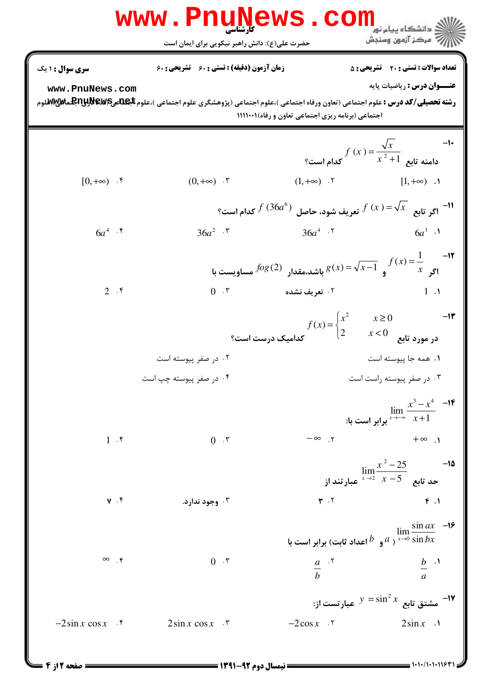Www.PnuNews.com **سری سوال : ۱ ی**ک **تعداد سوالات : تستي : 20 ٪ تشريحي : 5 زمان آزمون (دقیقه) : تستی : 60 تشریحی : 60** عنــوان درس : رياضيات پايه www.PnuNews.com **رشته تحصیلی/کد درس :** علوم اجتماعی (تعاون ورفاه اجتماعی )،علوم اجتماعی (پژوهشگری علوم اجتماعی )،علوم **الجالدی BuylyBewB بالال الله می** اجتماعی (برنامه ریزی اجتماعی تعاون و رفاه)۱۱۱۱۰۰۱  $f(x) = \frac{\sqrt{x}}{x^2 + 1}$ دامنه تابع  $f(x) = \frac{\sqrt{x}}{x^2 + 1}$ کدام است؟  $-1$  $(1, +\infty)$  . Y  $[0, +\infty)$  .  $\mathfrak{k}$  $(0, +\infty)$  .  $\mathbf{r}$  $[1, +\infty)$  . ا ا $\frac{1}{2}$ ا اگر تابع  $\sqrt{x}$   $\sqrt{x}$  تعریف شود، حاصل  $f(36a^6)$  کدام است؟  $6a^4$  .  $\mathfrak{k}$  $36a^{4}$  .  $\sqrt{ }$  $36a^2$  .  $\sqrt{ }$  $6a^3$  ·  $f(x) = \frac{1}{x}$  اگ  $f(x) = \sqrt{x-1}$  و  $g(x) = \sqrt{x-1}$  باشد،مقدار  $f(x) = \frac{1}{x}$  مساویست با  $0 \cdot r$  $2.5$ ٢. تعريف نشده  $1 \cdot \mathcal{N}$  $-11$  $f(x) = \begin{cases} x^2 & \quad x \geq 0 \ 2 & \quad x < 0 \end{cases}$ در مورد تابع  $0 \leq x < 0$ کدامیک درست است؟ ۰۲ در صفر پیوسته اس ٠١. همه جا پيوسته است ۰۴ در صفر پیوسته چپ است ۰۳ در صفر پیوسته راست است  $\lim_{x \to -\infty} \frac{x^3 - x^4}{x + 1}$  -----» برابر است با:  $-\infty$  r  $1.5$  $+\infty$  .  $0 \cdot \tau$  $\lim_{x \to 2} \frac{x^2 - 25}{x - 5}$ حد تابع  $\int_0^{\frac{x^2 - 25}{x - 5}}$ عبارتند از  $\mathbf{r}$ .  $\mathbf{r}$  $Y \cdot f$ ۰۳ وجود ندارد.  $F.1$  $\lim_{x\to 0} \frac{\sin ax}{\sin bx}$  و  $d$  اعداد ثابت) برابر است با $a$  sin  $bx$  $rac{a}{b}$   $\cdot$   $\cdot$  $\infty$   $\uparrow$  $0 \cdot \tau$  $rac{b}{a}$ . -۱۷ مشتق تابع  $y = \sin^2 x$  عبارتست از $y = \sin^2 x$  $-2\cos x$  .  $-2\sin x \cos x$  .  $2\sin x \cos x$  .  $2\sin x$  .

 $= 1.11 / 1.111971$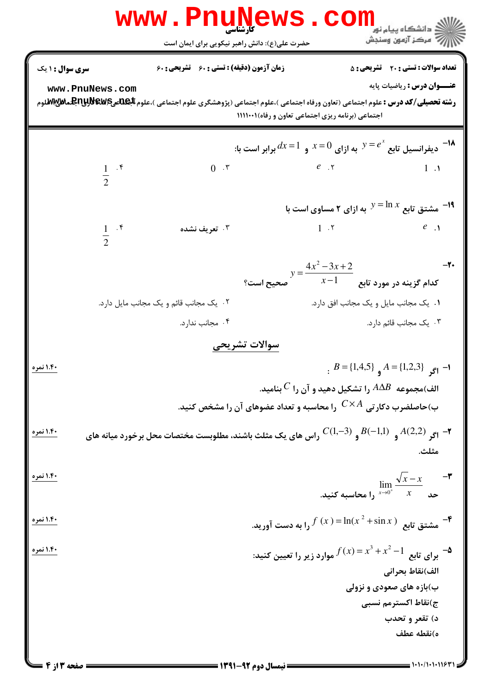|                        |                               | WWW.Pnun                                                                                      | ews                                                                                 | ≦ دانشگاه پیام نو <mark>ر</mark><br>ر آمرڪز آزمون وسنڊش                              |                                    |
|------------------------|-------------------------------|-----------------------------------------------------------------------------------------------|-------------------------------------------------------------------------------------|--------------------------------------------------------------------------------------|------------------------------------|
| <b>سری سوال : ۱ یک</b> |                               | حضرت علی(ع): دانش راهبر نیکویی برای ایمان است<br>زمان آزمون (دقیقه) : تستی : 60 ٪ تشریحی : 60 |                                                                                     | <b>تعداد سوالات : تستی : 20 تشریحی : 5</b>                                           |                                    |
|                        | www.PnuNews.com               |                                                                                               | اجتماعی (برنامه ریزی اجتماعی تعاون و رفاه)١١١١٠٠١                                   |                                                                                      | <b>عنـــوان درس :</b> رياضيات پايه |
|                        |                               |                                                                                               | ا دیفرانسیل تابع $e^x=e^x$ به ازای $x=0$ و $dx=1$ برابر است با: $d x=1$             |                                                                                      |                                    |
|                        | $\frac{1}{2}$ . $\frac{1}{2}$ | $0 \cdot r$                                                                                   | $e$ $, \, \, \cdot$ $\qquad \qquad 1 \, .1$                                         |                                                                                      |                                    |
|                        |                               |                                                                                               |                                                                                     | ا مشتق تابع $\ln x \approx y = \ln x$ به ازای ۲ مساوی است با $\ln$                   |                                    |
|                        | $rac{1}{2}$ . r               | ۰۳ تعریف نشده                                                                                 |                                                                                     | $1.7$ e $1$                                                                          |                                    |
|                        |                               |                                                                                               | $y = \frac{4x^2 - 3x + 2}{x - 1}$ کدام گزینه در مورد تابع $\frac{x-1}{x}$ صحیح است؟ | $-\mathbf{Y}$                                                                        |                                    |
|                        |                               | ٢. یک مجانب قائم و یک مجانب مایل دارد.                                                        |                                                                                     | ٠١. يک مجانب مايل و يک مجانب افق دارد.                                               |                                    |
|                        |                               | ۰۴ مجانب ندارد.                                                                               |                                                                                     | ۰۳ یک مجانب قائم دارد.                                                               |                                    |
|                        |                               | سوالات تشريحى                                                                                 |                                                                                     |                                                                                      |                                    |
| <u> ۱.۴۰ نمره</u>      |                               |                                                                                               |                                                                                     | $B = \{1,4,5\}$ $A = \{1,2,3\}$ $\overline{5}$ $\overline{1}$ $\overline{1}$         |                                    |
|                        |                               |                                                                                               | الف)مجموعه $A\Delta B$ را تشکیل دهید و آن را $^{\,}$ بنامید.                        |                                                                                      |                                    |
|                        |                               | ب)حاصلضرب دکارتی $\mathcal{C}{\times}A$ را محاسبه و تعداد عضوهای آن را مشخص کنید.             |                                                                                     |                                                                                      |                                    |
| <u> ۱.۴۰ نمره</u>      |                               | راس های یک مثلث باشند، مطلوبست مختصات محل برخورد میانه های                                    |                                                                                     | $C(1,-3)$ , $B(-1,1)$ , $A(2,2)$ , $\blacktriangleright$ - $\blacktriangleright$     | مثلث.                              |
| <u>۱.۴۰ نمره</u>       |                               |                                                                                               |                                                                                     | $\lim_{x\to 0^+} \frac{\sqrt{x} - x}{x}$ حد $\frac{\sqrt{x} - x}{x}$ را محاسبه کنید. |                                    |
| <u>۱.۴۰ نمره</u>       |                               |                                                                                               | - هشتق تابع $\ln(x^2 + \sin x) = \ln(x^2 + \sin x)$ را به دست آورید.                |                                                                                      |                                    |
| <u> ۱.۴۰ نمره</u>      |                               |                                                                                               | - برای تابع $f(x) = x^3 + x^2 - 1$ موارد زیر را تعیین کنید: $f(x) = x^3 + x^2 - 1$  |                                                                                      | الف)نقاط بحراني                    |
|                        |                               |                                                                                               |                                                                                     | ب)بازه های صعودی و نزولی                                                             |                                    |
|                        |                               |                                                                                               |                                                                                     | ج)نقاط اكسترمم نسبى                                                                  |                                    |
|                        |                               |                                                                                               |                                                                                     |                                                                                      | د) تقعر و تحدب                     |
|                        |                               |                                                                                               |                                                                                     |                                                                                      | ه)نقطه عطف                         |
|                        |                               |                                                                                               |                                                                                     |                                                                                      |                                    |